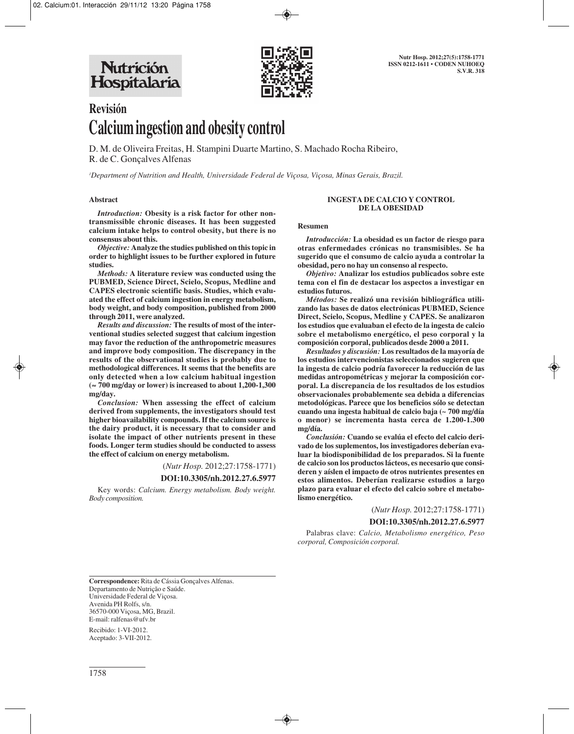

# **Revisión Calcium ingestion and obesity control**

D. M. de Oliveira Freitas, H. Stampini Duarte Martino, S. Machado Rocha Ribeiro, R. de C. Gonçalves Alfenas

*1 Department of Nutrition and Health, Universidade Federal de Viçosa, Viçosa, Minas Gerais, Brazil.*

#### **Abstract**

*Introduction:* **Obesity is a risk factor for other nontransmissible chronic diseases. It has been suggested calcium intake helps to control obesity, but there is no consensus about this.**

*Objective:* **Analyze the studies published on this topic in order to highlight issues to be further explored in future studies.**

*Methods:* **A literature review was conducted using the PUBMED, Science Direct, Scielo, Scopus, Medline and CAPES electronic scientific basis. Studies, which evaluated the effect of calcium ingestion in energy metabolism, body weight, and body composition, published from 2000 through 2011, were analyzed.**

*Results and discussion:* **The results of most of the interventional studies selected suggest that calcium ingestion may favor the reduction of the anthropometric measures and improve body composition. The discrepancy in the results of the observational studies is probably due to methodological differences. It seems that the benefits are only detected when a low calcium habitual ingestion (**≈ **700 mg/day or lower) is increased to about 1,200-1,300 mg/day.**

*Conclusion:* **When assessing the effect of calcium derived from supplements, the investigators should test higher bioavailability compounds. If the calcium source is the dairy product, it is necessary that to consider and isolate the impact of other nutrients present in these foods. Longer term studies should be conducted to assess the effect of calcium on energy metabolism.**

(*Nutr Hosp.* 2012;27:1758-1771)

#### **DOI:10.3305/nh.2012.27.6.5977**

Key words: *Calcium. Energy metabolism. Body weight. Body composition.*

#### **INGESTA DE CALCIO Y CONTROL DE LA OBESIDAD**

#### **Resumen**

*Introducción:* **La obesidad es un factor de riesgo para otras enfermedades crónicas no transmisibles. Se ha sugerido que el consumo de calcio ayuda a controlar la obesidad, pero no hay un consenso al respecto.** 

*Objetivo:* **Analizar los estudios publicados sobre este tema con el fin de destacar los aspectos a investigar en estudios futuros.** 

*Métodos:* **Se realizó una revisión bibliográfica utilizando las bases de datos electrónicas PUBMED, Science Direct, Scielo, Scopus, Medline y CAPES. Se analizaron los estudios que evaluaban el efecto de la ingesta de calcio sobre el metabolismo energético, el peso corporal y la composición corporal, publicados desde 2000 a 2011.**

*Resultados y discusión:* **Los resultados de la mayoría de los estudios intervencionistas seleccionados sugieren que la ingesta de calcio podría favorecer la reducción de las medidas antropométricas y mejorar la composición corporal. La discrepancia de los resultados de los estudios observacionales probablemente sea debida a diferencias metodológicas. Parece que los beneficios sólo se detectan cuando una ingesta habitual de calcio baja (~ 700 mg/día o menor) se incrementa hasta cerca de 1.200-1.300 mg/día.** 

*Conclusión:* **Cuando se evalúa el efecto del calcio derivado de los suplementos, los investigadores deberían evaluar la biodisponibilidad de los preparados. Si la fuente de calcio son los productos lácteos, es necesario que consideren y aíslen el impacto de otros nutrientes presentes en estos alimentos. Deberían realizarse estudios a largo plazo para evaluar el efecto del calcio sobre el metabolismo energético.**

(*Nutr Hosp.* 2012;27:1758-1771)

#### **DOI:10.3305/nh.2012.27.6.5977**

Palabras clave: *Calcio, Metabolismo energético, Peso corporal, Composición corporal.*

**Correspondence:** Rita de Cássia Gonçalves Alfenas. Departamento de Nutrição e Saúde. Universidade Federal de Viçosa. Avenida PH Rolfs, s/n. 36570-000 Viçosa, MG, Brazil. E-mail: ralfenas@ufv.br

Recibido: 1-VI-2012. Aceptado: 3-VII-2012.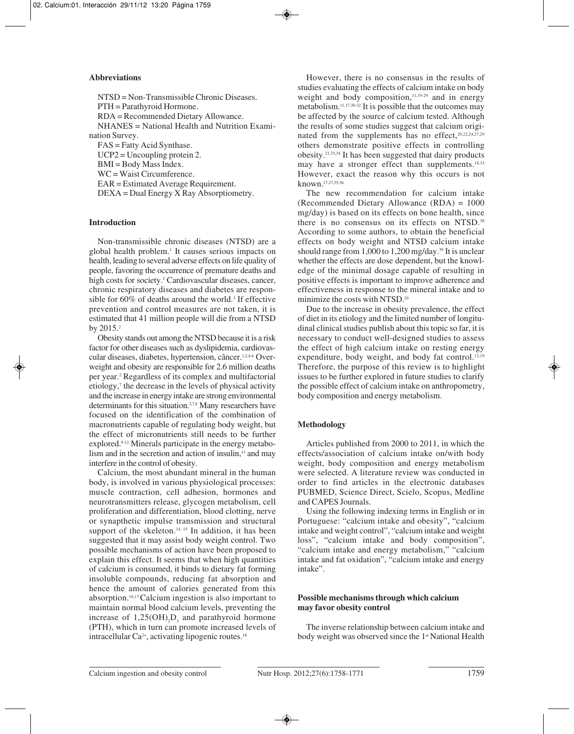## **Abbreviations**

NTSD = Non-Transmissible Chronic Diseases. PTH = Parathyroid Hormone. RDA = Recommended Dietary Allowance. NHANES = National Health and Nutrition Examination Survey. FAS = Fatty Acid Synthase. UCP2 = Uncoupling protein 2. BMI = Body Mass Index. WC = Waist Circumference. EAR = Estimated Average Requirement. DEXA = Dual Energy X Ray Absorptiometry.

## **Introduction**

Non-transmissible chronic diseases (NTSD) are a global health problem.1 It causes serious impacts on health, leading to several adverse effects on life quality of people, favoring the occurrence of premature deaths and high costs for society.<sup>2</sup> Cardiovascular diseases, cancer, chronic respiratory diseases and diabetes are responsible for  $60\%$  of deaths around the world.<sup>3</sup> If effective prevention and control measures are not taken, it is estimated that 41 million people will die from a NTSD by 2015.2

Obesity stands out among the NTSD because it is a risk factor for other diseases such as dyslipidemia, cardiovascular diseases, diabetes, hypertension, câncer.<sup>1,2,4-6</sup> Overweight and obesity are responsible for 2.6 million deaths per year.2 Regardless of its complex and multifactorial etiology,7 the decrease in the levels of physical activity and the increase in energy intake are strong environmental determinants for this situation.<sup>2,7,8</sup> Many researchers have focused on the identification of the combination of macronutrients capable of regulating body weight, but the effect of micronutrients still needs to be further explored.9-12 Minerals participate in the energy metabolism and in the secretion and action of insulin,<sup>13</sup> and may interfere in the control of obesity.

Calcium, the most abundant mineral in the human body, is involved in various physiological processes: muscle contraction, cell adhesion, hormones and neurotransmitters release, glycogen metabolism, cell proliferation and differentiation, blood clotting, nerve or synapthetic impulse transmission and structural support of the skeleton.<sup>14, 15</sup> In addition, it has been suggested that it may assist body weight control. Two possible mechanisms of action have been proposed to explain this effect. It seems that when high quantities of calcium is consumed, it binds to dietary fat forming insoluble compounds, reducing fat absorption and hence the amount of calories generated from this absorption.16,17 Calcium ingestion is also important to maintain normal blood calcium levels, preventing the increase of  $1,25(OH)$ <sub>2</sub>D<sub>3</sub> and parathyroid hormone (PTH), which in turn can promote increased levels of intracellular Ca<sup>2+</sup>, activating lipogenic routes.<sup>18</sup>

However, there is no consensus in the results of studies evaluating the effects of calcium intake on body weight and body composition, $11,19-29$  and in energy metabolism.11,17,30-32 It is possible that the outcomes may be affected by the source of calcium tested. Although the results of some studies suggest that calcium originated from the supplements has no effect, $20,22,24,27,29$ others demonstrate positive effects in controlling obesity.21,33,34 It has been suggested that dairy products may have a stronger effect than supplements.<sup>18,33</sup> However, exact the reason why this occurs is not known.17,27,35,36

The new recommendation for calcium intake (Recommended Dietary Allowance (RDA) = 1000 mg/day) is based on its effects on bone health, since there is no consensus on its effects on NTSD.38 According to some authors, to obtain the beneficial effects on body weight and NTSD calcium intake should range from 1,000 to 1,200 mg/day.39 It is unclear whether the effects are dose dependent, but the knowledge of the minimal dosage capable of resulting in positive effects is important to improve adherence and effectiveness in response to the mineral intake and to minimize the costs with NTSD.29

Due to the increase in obesity prevalence, the effect of diet in its etiology and the limited number of longitudinal clinical studies publish about this topic so far, it is necessary to conduct well-designed studies to assess the effect of high calcium intake on resting energy expenditure, body weight, and body fat control.<sup>12,19</sup> Therefore, the purpose of this review is to highlight issues to be further explored in future studies to clarify the possible effect of calcium intake on anthropometry, body composition and energy metabolism.

## **Methodology**

Articles published from 2000 to 2011, in which the effects/association of calcium intake on/with body weight, body composition and energy metabolism were selected. A literature review was conducted in order to find articles in the electronic databases PUBMED, Science Direct, Scielo, Scopus, Medline and CAPES Journals.

Using the following indexing terms in English or in Portuguese: "calcium intake and obesity", "calcium intake and weight control", "calcium intake and weight loss", "calcium intake and body composition", "calcium intake and energy metabolism," "calcium intake and fat oxidation", "calcium intake and energy intake".

# **Possible mechanisms through which calcium may favor obesity control**

The inverse relationship between calcium intake and body weight was observed since the 1<sup>st</sup> National Health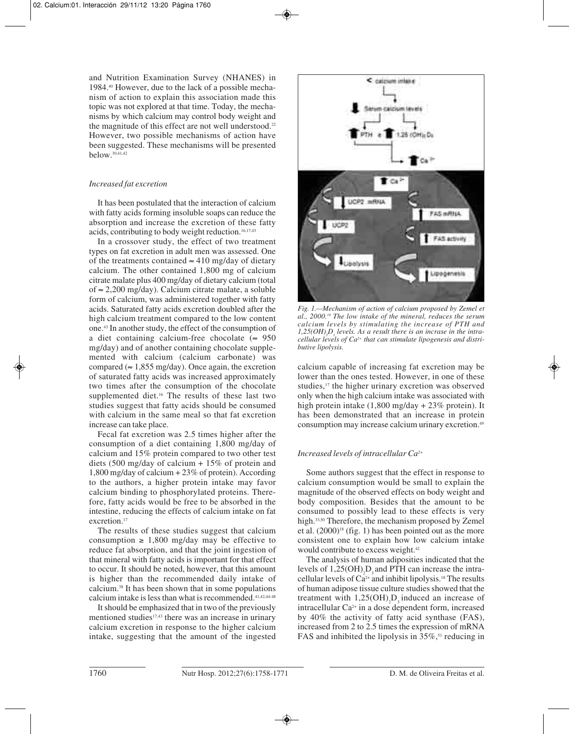and Nutrition Examination Survey (NHANES) in 1984.40 However, due to the lack of a possible mechanism of action to explain this association made this topic was not explored at that time. Today, the mechanisms by which calcium may control body weight and the magnitude of this effect are not well understood.<sup>22</sup> However, two possible mechanisms of action have been suggested. These mechanisms will be presented below.30,41,42

# *Increased fat excretion*

It has been postulated that the interaction of calcium with fatty acids forming insoluble soaps can reduce the absorption and increase the excretion of these fatty acids, contributing to body weight reduction.<sup>16,17,43</sup>

In a crossover study, the effect of two treatment types on fat excretion in adult men was assessed. One of the treatments contained  $\approx$  410 mg/day of dietary calcium. The other contained 1,800 mg of calcium citrate malate plus 400 mg/day of dietary calcium (total of ≈ 2,200 mg/day). Calcium citrate malate, a soluble form of calcium, was administered together with fatty acids. Saturated fatty acids excretion doubled after the high calcium treatment compared to the low content one.43 In another study, the effect of the consumption of a diet containing calcium-free chocolate ( $\approx$  950 mg/day) and of another containing chocolate supplemented with calcium (calcium carbonate) was compared ( $\approx 1.855$  mg/day). Once again, the excretion of saturated fatty acids was increased approximately two times after the consumption of the chocolate supplemented diet.<sup>16</sup> The results of these last two studies suggest that fatty acids should be consumed with calcium in the same meal so that fat excretion increase can take place.

Fecal fat excretion was 2.5 times higher after the consumption of a diet containing 1,800 mg/day of calcium and 15% protein compared to two other test diets (500 mg/day of calcium + 15% of protein and 1,800 mg/day of calcium + 23% of protein). According to the authors, a higher protein intake may favor calcium binding to phosphorylated proteins. Therefore, fatty acids would be free to be absorbed in the intestine, reducing the effects of calcium intake on fat excretion.<sup>17</sup>

The results of these studies suggest that calcium consumption  $\geq 1,800$  mg/day may be effective to reduce fat absorption, and that the joint ingestion of that mineral with fatty acids is important for that effect to occur. It should be noted, however, that this amount is higher than the recommended daily intake of calcium.38 It has been shown that in some populations calcium intake is less than what is recommended.41,42,44-48

It should be emphasized that in two of the previously mentioned studies<sup>17,43</sup> there was an increase in urinary calcium excretion in response to the higher calcium intake, suggesting that the amount of the ingested



*Fig. 1.—Mechanism of action of calcium proposed by Zemel et al., 2000.18 The low intake of the mineral, reduces the serum calcium levels by stimulating the increase of PTH and*  $1,25(OH)$ <sub>2</sub> $D<sub>3</sub>$  *levels. As a result there is an incrase in the intracellular levels of Ca2+ that can stimulate lipogenesis and distributive lipolysis.*

calcium capable of increasing fat excretion may be lower than the ones tested. However, in one of these studies,<sup>17</sup> the higher urinary excretion was observed only when the high calcium intake was associated with high protein intake (1,800 mg/day + 23% protein). It has been demonstrated that an increase in protein consumption may increase calcium urinary excretion.49

# *Increased levels of intracellular Ca2+*

Some authors suggest that the effect in response to calcium consumption would be small to explain the magnitude of the observed effects on body weight and body composition. Besides that the amount to be consumed to possibly lead to these effects is very high.<sup>33,50</sup> Therefore, the mechanism proposed by Zemel et al.  $(2000)^{18}$  (fig. 1) has been pointed out as the more consistent one to explain how low calcium intake would contribute to excess weight.<sup>42</sup>

The analysis of human adiposities indicated that the levels of  $1,25(OH)$ <sub>2</sub>D<sub>3</sub> and PTH can increase the intracellular levels of  $Ca^{2+}$  and inhibit lipolysis.<sup>18</sup> The results of human adipose tissue culture studies showed that the treatment with  $1,25(OH)_{2}D_{3}$  induced an increase of intracellular Ca2+ in a dose dependent form, increased by 40% the activity of fatty acid synthase (FAS), increased from 2 to 2.5 times the expression of mRNA FAS and inhibited the lipolysis in  $35\%$ ,<sup>51</sup> reducing in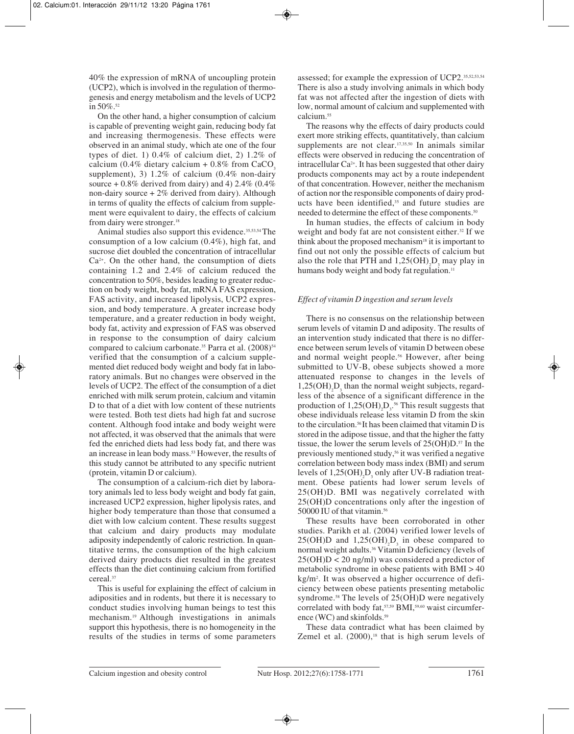40% the expression of mRNA of uncoupling protein (UCP2), which is involved in the regulation of thermogenesis and energy metabolism and the levels of UCP2 in  $50\%$ <sup>52</sup>

On the other hand, a higher consumption of calcium is capable of preventing weight gain, reducing body fat and increasing thermogenesis. These effects were observed in an animal study, which ate one of the four types of diet. 1) 0.4% of calcium diet, 2) 1.2% of calcium (0.4% dietary calcium +  $0.8\%$  from CaCO<sub>3</sub> supplement), 3) 1.2% of calcium (0.4% non-dairy source  $+0.8\%$  derived from dairy) and 4) 2.4% (0.4% non-dairy source  $+2\%$  derived from dairy). Although in terms of quality the effects of calcium from supplement were equivalent to dairy, the effects of calcium from dairy were stronger.<sup>18</sup>

Animal studies also support this evidence.<sup>35,53,54</sup> The consumption of a low calcium (0.4%), high fat, and sucrose diet doubled the concentration of intracellular Ca2+. On the other hand, the consumption of diets containing 1.2 and 2.4% of calcium reduced the concentration to 50%, besides leading to greater reduction on body weight, body fat, mRNA FAS expression, FAS activity, and increased lipolysis, UCP2 expression, and body temperature. A greater increase body temperature, and a greater reduction in body weight, body fat, activity and expression of FAS was observed in response to the consumption of dairy calcium compared to calcium carbonate.<sup>35</sup> Parra et al. (2008)<sup>54</sup> verified that the consumption of a calcium supplemented diet reduced body weight and body fat in laboratory animals. But no changes were observed in the levels of UCP2. The effect of the consumption of a diet enriched with milk serum protein, calcium and vitamin D to that of a diet with low content of these nutrients were tested. Both test diets had high fat and sucrose content. Although food intake and body weight were not affected, it was observed that the animals that were fed the enriched diets had less body fat, and there was an increase in lean body mass.<sup>53</sup> However, the results of this study cannot be attributed to any specific nutrient (protein, vitamin D or calcium).

The consumption of a calcium-rich diet by laboratory animals led to less body weight and body fat gain, increased UCP2 expression, higher lipolysis rates, and higher body temperature than those that consumed a diet with low calcium content. These results suggest that calcium and dairy products may modulate adiposity independently of caloric restriction. In quantitative terms, the consumption of the high calcium derived dairy products diet resulted in the greatest effects than the diet continuing calcium from fortified cereal.37

This is useful for explaining the effect of calcium in adiposities and in rodents, but there it is necessary to conduct studies involving human beings to test this mechanism.19 Although investigations in animals support this hypothesis, there is no homogeneity in the results of the studies in terms of some parameters

assessed; for example the expression of UCP2.35,52,53,54 There is also a study involving animals in which body fat was not affected after the ingestion of diets with low, normal amount of calcium and supplemented with calcium.55

The reasons why the effects of dairy products could exert more striking effects, quantitatively, than calcium supplements are not clear.<sup>17,35,50</sup> In animals similar effects were observed in reducing the concentration of intracellular  $Ca^{2+}$ . It has been suggested that other dairy products components may act by a route independent of that concentration. However, neither the mechanism of action nor the responsible components of dairy products have been identified,<sup>35</sup> and future studies are needed to determine the effect of these components.50

In human studies, the effects of calcium in body weight and body fat are not consistent either.<sup>32</sup> If we think about the proposed mechanism<sup>18</sup> it is important to find out not only the possible effects of calcium but also the role that PTH and  $1,25(OH)$ <sub>2</sub>D<sub>3</sub> may play in humans body weight and body fat regulation.<sup>11</sup>

## *Effect of vitamin D ingestion and serum levels*

There is no consensus on the relationship between serum levels of vitamin D and adiposity. The results of an intervention study indicated that there is no difference between serum levels of vitamin D between obese and normal weight people.<sup>56</sup> However, after being submitted to UV-B, obese subjects showed a more attenuated response to changes in the levels of  $1,25(OH)_{2}D_{3}$  than the normal weight subjects, regardless of the absence of a significant difference in the production of  $1,25(OH)_{2}D_{3}^{56}$  This result suggests that obese individuals release less vitamin D from the skin to the circulation.<sup>56</sup> It has been claimed that vitamin D is stored in the adipose tissue, and that the higher the fatty tissue, the lower the serum levels of  $25(OH)D^{57}$  In the previously mentioned study,<sup>56</sup> it was verified a negative correlation between body mass index (BMI) and serum levels of  $1,25(OH)_{2}D_{3}$  only after UV-B radiation treatment. Obese patients had lower serum levels of 25(OH)D. BMI was negatively correlated with 25(OH)D concentrations only after the ingestion of 50000 IU of that vitamin.<sup>56</sup>

These results have been corroborated in other studies. Parikh et al. (2004) verified lower levels of  $25(OH)D$  and  $1,25(OH)_{2}D_{3}$  in obese compared to normal weight adults.36 Vitamin D deficiency (levels of  $25(OH)D < 20$  ng/ml) was considered a predictor of metabolic syndrome in obese patients with BMI > 40 kg/m2 . It was observed a higher occurrence of deficiency between obese patients presenting metabolic syndrome.<sup>58</sup> The levels of 25(OH)D were negatively correlated with body fat, 57,59 BMI, 59,60 waist circumference (WC) and skinfolds.<sup>59</sup>

These data contradict what has been claimed by Zemel et al.  $(2000)$ ,<sup>18</sup> that is high serum levels of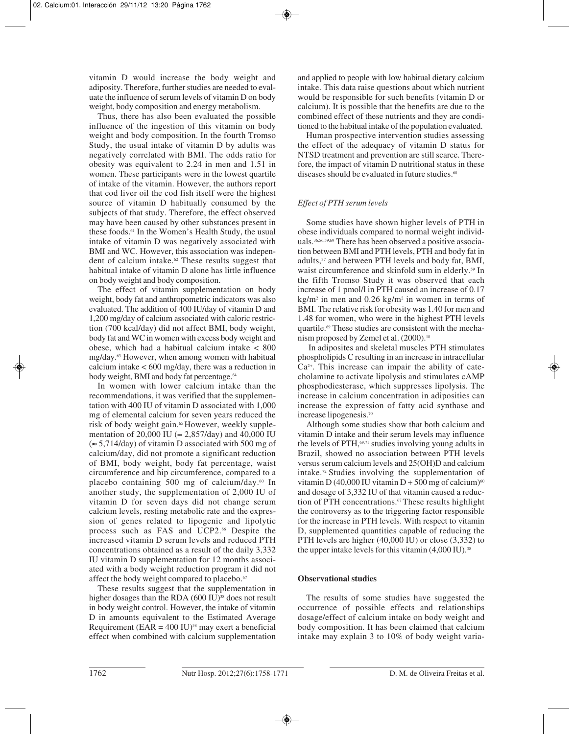vitamin D would increase the body weight and adiposity. Therefore, further studies are needed to evaluate the influence of serum levels of vitamin D on body weight, body composition and energy metabolism.

Thus, there has also been evaluated the possible influence of the ingestion of this vitamin on body weight and body composition. In the fourth Tromso Study, the usual intake of vitamin D by adults was negatively correlated with BMI. The odds ratio for obesity was equivalent to 2.24 in men and 1.51 in women. These participants were in the lowest quartile of intake of the vitamin. However, the authors report that cod liver oil the cod fish itself were the highest source of vitamin D habitually consumed by the subjects of that study. Therefore, the effect observed may have been caused by other substances present in these foods.61 In the Women's Health Study, the usual intake of vitamin D was negatively associated with BMI and WC. However, this association was independent of calcium intake.62 These results suggest that habitual intake of vitamin D alone has little influence on body weight and body composition.

The effect of vitamin supplementation on body weight, body fat and anthropometric indicators was also evaluated. The addition of 400 IU/day of vitamin D and 1,200 mg/day of calcium associated with caloric restriction (700 kcal/day) did not affect BMI, body weight, body fat and WC in women with excess body weight and obese, which had a habitual calcium intake < 800 mg/day.63 However, when among women with habitual calcium intake < 600 mg/day, there was a reduction in body weight, BMI and body fat percentage.<sup>64</sup>

In women with lower calcium intake than the recommendations, it was verified that the supplementation with 400 IU of vitamin D associated with 1,000 mg of elemental calcium for seven years reduced the risk of body weight gain.<sup>65</sup> However, weekly supplementation of 20,000 IU (≈ 2,857/day) and 40,000 IU  $(\approx 5.714/day)$  of vitamin D associated with 500 mg of calcium/day, did not promote a significant reduction of BMI, body weight, body fat percentage, waist circumference and hip circumference, compared to a placebo containing 500 mg of calcium/day.60 In another study, the supplementation of 2,000 IU of vitamin D for seven days did not change serum calcium levels, resting metabolic rate and the expression of genes related to lipogenic and lipolytic process such as FAS and UCP2.<sup>66</sup> Despite the increased vitamin D serum levels and reduced PTH concentrations obtained as a result of the daily 3,332 IU vitamin D supplementation for 12 months associated with a body weight reduction program it did not affect the body weight compared to placebo.<sup>67</sup>

These results suggest that the supplementation in higher dosages than the RDA (600 IU)<sup>38</sup> does not result in body weight control. However, the intake of vitamin D in amounts equivalent to the Estimated Average Requirement ( $EAR = 400 \text{ IU}$ )<sup>38</sup> may exert a beneficial effect when combined with calcium supplementation

and applied to people with low habitual dietary calcium intake. This data raise questions about which nutrient would be responsible for such benefits (vitamin D or calcium). It is possible that the benefits are due to the combined effect of these nutrients and they are conditioned to the habitual intake of the population evaluated.

Human prospective intervention studies assessing the effect of the adequacy of vitamin D status for NTSD treatment and prevention are still scarce. Therefore, the impact of vitamin D nutritional status in these diseases should be evaluated in future studies.<sup>68</sup>

# *Effect of PTH serum levels*

Some studies have shown higher levels of PTH in obese individuals compared to normal weight individuals.36,56,59,69 There has been observed a positive association between BMI and PTH levels, PTH and body fat in adults,37 and between PTH levels and body fat, BMI, waist circumference and skinfold sum in elderly.<sup>59</sup> In the fifth Tromso Study it was observed that each increase of 1 pmol/l in PTH caused an increase of 0.17  $kg/m<sup>2</sup>$  in men and 0.26 kg/m<sup>2</sup> in women in terms of BMI. The relative risk for obesity was 1.40 for men and 1.48 for women, who were in the highest PTH levels quartile.69 These studies are consistent with the mechanism proposed by Zemel et al. (2000).<sup>18</sup>

In adiposites and skeletal muscles PTH stimulates phospholipids C resulting in an increase in intracellular Ca2+. This increase can impair the ability of catecholamine to activate lipolysis and stimulates cAMP phosphodiesterase, which suppresses lipolysis. The increase in calcium concentration in adiposities can increase the expression of fatty acid synthase and increase lipogenesis.70

Although some studies show that both calcium and vitamin D intake and their serum levels may influence the levels of PTH,<sup>69,71</sup> studies involving young adults in Brazil, showed no association between PTH levels versus serum calcium levels and 25(OH)D and calcium intake.72 Studies involving the supplementation of vitamin D (40,000 IU vitamin D + 500 mg of calcium)<sup>60</sup> and dosage of 3,332 IU of that vitamin caused a reduction of PTH concentrations.67 These results highlight the controversy as to the triggering factor responsible for the increase in PTH levels. With respect to vitamin D, supplemented quantities capable of reducing the PTH levels are higher (40,000 IU) or close (3,332) to the upper intake levels for this vitamin  $(4,000 \text{ IU})$ .<sup>38</sup>

# **Observational studies**

The results of some studies have suggested the occurrence of possible effects and relationships dosage/effect of calcium intake on body weight and body composition. It has been claimed that calcium intake may explain 3 to 10% of body weight varia-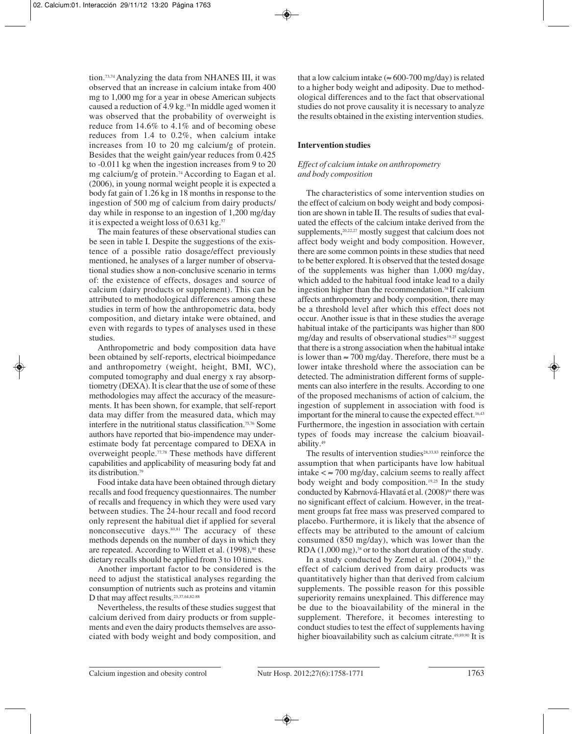tion.73,74 Analyzing the data from NHANES III, it was observed that an increase in calcium intake from 400 mg to 1,000 mg for a year in obese American subjects caused a reduction of 4.9 kg.18 In middle aged women it was observed that the probability of overweight is reduce from 14.6% to 4.1% and of becoming obese reduces from 1.4 to 0.2%, when calcium intake increases from 10 to 20 mg calcium/g of protein. Besides that the weight gain/year reduces from 0.425 to -0.011 kg when the ingestion increases from 9 to 20 mg calcium/g of protein.74 According to Eagan et al. (2006), in young normal weight people it is expected a body fat gain of 1.26 kg in 18 months in response to the ingestion of 500 mg of calcium from dairy products/ day while in response to an ingestion of 1,200 mg/day it is expected a weight loss of  $0.631$  kg.<sup>57</sup>

The main features of these observational studies can be seen in table I. Despite the suggestions of the existence of a possible ratio dosage/effect previously mentioned, he analyses of a larger number of observational studies show a non-conclusive scenario in terms of: the existence of effects, dosages and source of calcium (dairy products or supplement). This can be attributed to methodological differences among these studies in term of how the anthropometric data, body composition, and dietary intake were obtained, and even with regards to types of analyses used in these studies.

Anthropometric and body composition data have been obtained by self-reports, electrical bioimpedance and anthropometry (weight, height, BMI, WC), computed tomography and dual energy x ray absorptiometry (DEXA). It is clear that the use of some of these methodologies may affect the accuracy of the measurements. It has been shown, for example, that self-report data may differ from the measured data, which may interfere in the nutritional status classification.75,76 Some authors have reported that bio-impendence may underestimate body fat percentage compared to DEXA in overweight people.77,78 These methods have different capabilities and applicability of measuring body fat and its distribution.79

Food intake data have been obtained through dietary recalls and food frequency questionnaires. The number of recalls and frequency in which they were used vary between studies. The 24-hour recall and food record only represent the habitual diet if applied for several nonconsecutive days.<sup>80,81</sup> The accuracy of these methods depends on the number of days in which they are repeated. According to Willett et al. (1998),<sup>80</sup> these dietary recalls should be applied from 3 to 10 times.

Another important factor to be considered is the need to adjust the statistical analyses regarding the consumption of nutrients such as proteins and vitamin D that may affect results.23,37,64,82-88

Nevertheless, the results of these studies suggest that calcium derived from dairy products or from supplements and even the dairy products themselves are associated with body weight and body composition, and that a low calcium intake ( $\approx 600$ -700 mg/day) is related to a higher body weight and adiposity. Due to methodological differences and to the fact that observational studies do not prove causality it is necessary to analyze the results obtained in the existing intervention studies.

# **Intervention studies**

# *Effect of calcium intake on anthropometry and body composition*

The characteristics of some intervention studies on the effect of calcium on body weight and body composition are shown in table II. The results of sudies that evaluated the effects of the calcium intake derived from the supplements,<sup>20,22,27</sup> mostly suggest that calcium does not affect body weight and body composition. However, there are some common points in these studies that need to be better explored. It is observed that the tested dosage of the supplements was higher than 1,000 mg/day, which added to the habitual food intake lead to a daily ingestion higher than the recommendation.38 If calcium affects anthropometry and body composition, there may be a threshold level after which this effect does not occur. Another issue is that in these studies the average habitual intake of the participants was higher than 800 mg/day and results of observational studies<sup>19,25</sup> suggest that there is a strong association when the habitual intake is lower than  $\approx$  700 mg/day. Therefore, there must be a lower intake threshold where the association can be detected. The administration different forms of supplements can also interfere in the results. According to one of the proposed mechanisms of action of calcium, the ingestion of supplement in association with food is important for the mineral to cause the expected effect.<sup>16,43</sup> Furthermore, the ingestion in association with certain types of foods may increase the calcium bioavailability.49

The results of intervention studies<sup>28,33,83</sup> reinforce the assumption that when participants have low habitual intake  $\lt \approx 700$  mg/day, calcium seems to really affect body weight and body composition.19,25 In the study conducted by Kabrnová-Hlavatá et al. (2008)<sup>84</sup> there was no significant effect of calcium. However, in the treatment groups fat free mass was preserved compared to placebo. Furthermore, it is likely that the absence of effects may be attributed to the amount of calcium consumed (850 mg/day), which was lower than the RDA  $(1,000 \text{ mg})$ ,<sup>38</sup> or to the short duration of the study.

In a study conducted by Zemel et al.  $(2004)$ ,  $33$  the effect of calcium derived from dairy products was quantitatively higher than that derived from calcium supplements. The possible reason for this possible superiority remains unexplained. This difference may be due to the bioavailability of the mineral in the supplement. Therefore, it becomes interesting to conduct studies to test the effect of supplements having higher bioavailability such as calcium citrate.<sup>49,89,90</sup> It is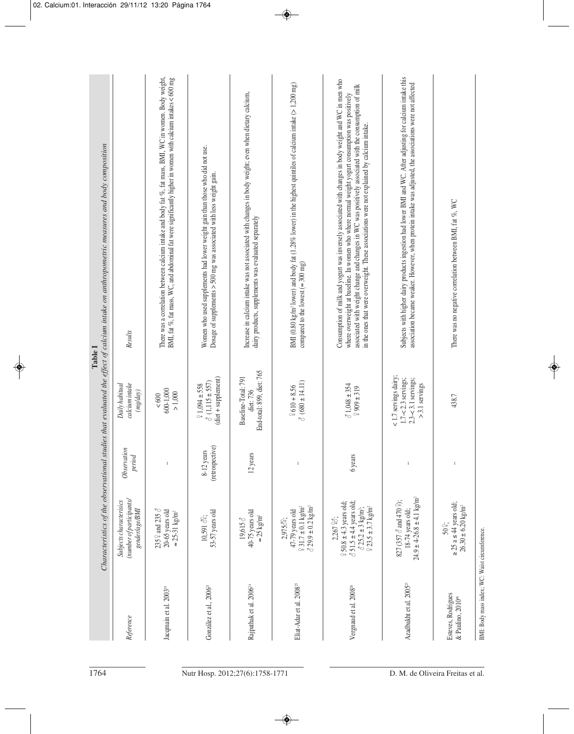| Subjects with higher dairy products ingestion had lower BMI and WC. After adjusting for calcium intake this<br>Consumption of milk and yogurt was inversely associated with changes in body weight and WC in men who<br>association became weaker. However, when protein intake was adjusted, the associations were not affected<br>associated with weight change and changes in WC was positively associated with the consumption of milk<br>where overweight at baseline. In women who where normal weight yogurt consumption was positively<br>in the ones that were overweight. These associations were not explained by calcium intake.<br>There was no negative correlation between BMI, fat %, WC<br>dairy products, supplements was evaluated separately<br>compared to the lowest $( \approx 300 \text{ mg})$<br>End-total: 899, diet: 765<br><1.7 servings dairy;<br>Baseline-Total: 791<br>$1.7 - 2.3$ servings;<br>$2.3 - 3.1$ servings;<br>$\delta$ (680 ± 14.11)<br>$>$ 3.1 servings<br>$31,048 \pm 354$<br>$2610 + 8.56$<br>$2909 \pm 319$<br>diet: 736<br>438.7<br>12 years<br>6 years<br>$\mathsf I$<br>$\mathsf I$<br>$\mathsf I$<br>$24.9 \pm 4.26.8 \pm 4.1$ kg/m <sup>2</sup><br>827 (357 $\delta$ and 470 $\hat{+}$ );<br>$250.8 \pm 4.3$ years old;<br>$351.5 \pm 4.4$ years old;<br>$\geq 25$ a $\leq 44$ years old;<br>$931.7 \pm 0.1$ kg/m <sup>2</sup><br>$\delta$ 29.9 ± 0.2 kg/m <sup>2</sup><br>$23.5 \pm 3.7$ kg/m <sup>2</sup><br>$325.2 \pm 3$ kg/m <sup>2</sup> ;<br>18-74 years old;<br>47-79 years old<br>40-75 years old<br>$\approx 25 \text{ kg/m}^2$<br>19,615 8<br>2,267 98;<br>2,9758 <sup>2</sup> ;<br>$50^{\circ}$ | BMI (0.80 kg/m <sup>2</sup> lower) and body fat (1.28% lower) in the highest quintiles of calcium intake ( $>1,200$ mg) | Increase in calcium intake was not associated with changes in body weight; even when dietary calcium, | Women who used supplements had lower weight gain than those who did not use.<br>Dosage of supplements $>$ 500 mg was associated with less weight gain.<br>$(diet + supplement)$<br>$\delta$ (1,115 ± 557)<br>$21,094 \pm 558$<br>(retrospective)<br>8-12 years<br>53-57 years old<br>10,591 32; | There was a correlation between calcium intake and body fat %, fat mass, BMI, WC in women. Body weight,<br>BMI, fat %, fat mass, WC, and abdominal fat were significantly higher in women with calcium intakes < 600 mg<br>600-1,000<br>$> 1,000$<br>$< 600$<br>$\,$ $\,$<br>235 $\frac{0}{2}$ and 235 $\sigma$<br>20-65 years old<br>$\approx 25-31$ kg/m <sup>2</sup> | Results<br>calcium intake<br>Daily habitual<br>(mg/day)<br>Observation<br>period<br>(number of participants/<br>Subjects characterisics<br>gender/age/BMI |
|----------------------------------------------------------------------------------------------------------------------------------------------------------------------------------------------------------------------------------------------------------------------------------------------------------------------------------------------------------------------------------------------------------------------------------------------------------------------------------------------------------------------------------------------------------------------------------------------------------------------------------------------------------------------------------------------------------------------------------------------------------------------------------------------------------------------------------------------------------------------------------------------------------------------------------------------------------------------------------------------------------------------------------------------------------------------------------------------------------------------------------------------------------------------------------------------------------------------------------------------------------------------------------------------------------------------------------------------------------------------------------------------------------------------------------------------------------------------------------------------------------------------------------------------------------------------------------------------------------------------------------------------------------------|-------------------------------------------------------------------------------------------------------------------------|-------------------------------------------------------------------------------------------------------|-------------------------------------------------------------------------------------------------------------------------------------------------------------------------------------------------------------------------------------------------------------------------------------------------|-------------------------------------------------------------------------------------------------------------------------------------------------------------------------------------------------------------------------------------------------------------------------------------------------------------------------------------------------------------------------|-----------------------------------------------------------------------------------------------------------------------------------------------------------|
|----------------------------------------------------------------------------------------------------------------------------------------------------------------------------------------------------------------------------------------------------------------------------------------------------------------------------------------------------------------------------------------------------------------------------------------------------------------------------------------------------------------------------------------------------------------------------------------------------------------------------------------------------------------------------------------------------------------------------------------------------------------------------------------------------------------------------------------------------------------------------------------------------------------------------------------------------------------------------------------------------------------------------------------------------------------------------------------------------------------------------------------------------------------------------------------------------------------------------------------------------------------------------------------------------------------------------------------------------------------------------------------------------------------------------------------------------------------------------------------------------------------------------------------------------------------------------------------------------------------------------------------------------------------|-------------------------------------------------------------------------------------------------------------------------|-------------------------------------------------------------------------------------------------------|-------------------------------------------------------------------------------------------------------------------------------------------------------------------------------------------------------------------------------------------------------------------------------------------------|-------------------------------------------------------------------------------------------------------------------------------------------------------------------------------------------------------------------------------------------------------------------------------------------------------------------------------------------------------------------------|-----------------------------------------------------------------------------------------------------------------------------------------------------------|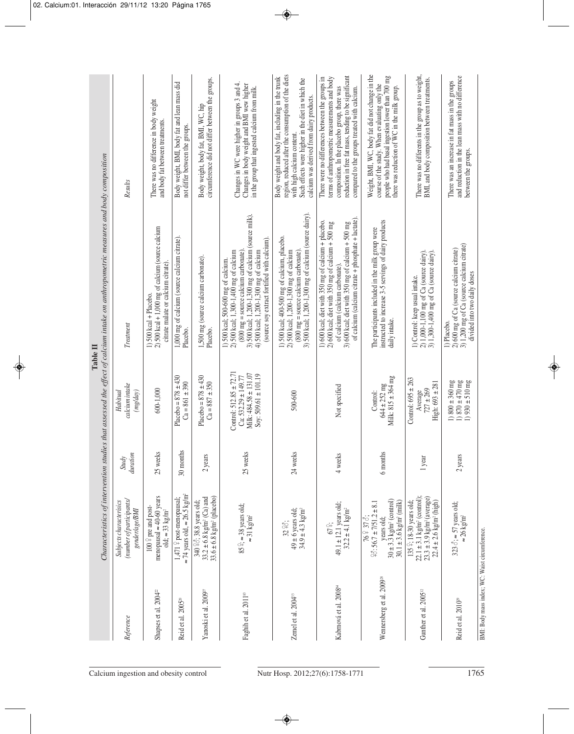|                                                |                                                                                                                                                                 |                          |                                                                                                             | Characteristics of intervention studies that assessed the effect of calcium intake on anthropometric measures and body composition<br>Table II                                                                                                                                                           |                                                                                                                                                                                                                                                           |
|------------------------------------------------|-----------------------------------------------------------------------------------------------------------------------------------------------------------------|--------------------------|-------------------------------------------------------------------------------------------------------------|----------------------------------------------------------------------------------------------------------------------------------------------------------------------------------------------------------------------------------------------------------------------------------------------------------|-----------------------------------------------------------------------------------------------------------------------------------------------------------------------------------------------------------------------------------------------------------|
| Reference                                      | (number of participants/<br>Subjects characterisics<br>gender/age/BMI                                                                                           | duration<br><b>Study</b> | calcium intake<br>Habitual<br>(mg/day)                                                                      | Treatment                                                                                                                                                                                                                                                                                                | Results                                                                                                                                                                                                                                                   |
| Shapses et al. 2004 <sup>22</sup>              | menopausal $\approx$ 40-60 years<br>$100\frac{9}{7}$ pre and post-<br>old; $\approx$ 33 kg/m <sup>2</sup>                                                       | 25 weeks                 | 600-1,000                                                                                                   | $2)$ 500 kcal + 1,000 mg of calcium (source calcium<br>citrate malate or calcium citrate)<br>$1)$ 500 kcal + Placebo.                                                                                                                                                                                    | There was no difference in body weight<br>and body fat between treatments.                                                                                                                                                                                |
| Reid et al. 2005 <sup>20</sup>                 | $\approx$ 74 years old, $\approx$ 26.5 kg/m <sup>2</sup><br>1,471 º post-menopausal;                                                                            | 30 months                | Placebo = $878 \pm 430$<br>$Ca = 861 \pm 390$                                                               | 1,000 mg of calcium (source calcium citrate).<br>Placebo.                                                                                                                                                                                                                                                | Body weight, BMI, body fat and lean mass did<br>not differ between the groups.                                                                                                                                                                            |
| Yanoski et al. 2009 <sup>27</sup>              | $33.6 \pm 6.8$ kg/m <sup>2</sup> (placebo)<br>$33.2 \pm 6.8$ kg/m <sup>2</sup> (Ca) and<br>340 28; 38.8 years old;                                              | 2 years                  | Placebo = $878 \pm 430$<br>$Ca = 887 \pm 350$                                                               | 1,500 mg (source calcium carbonate).<br>Placebo.                                                                                                                                                                                                                                                         | circumference did not differ between the groups.<br>Body weight, body fat, BMI, WC, hip                                                                                                                                                                   |
| Faghih et al. 2011 <sup>83</sup>               | $85\degree$ ; $\approx$ 38 years old;<br>$\approx 31$ kg/m²                                                                                                     | 25 weeks                 | Control: $512.85 \pm 72.71$<br>Milk: 484.58 ± 131.07<br>Soy: 509.61 $\pm$ 101.19<br>$Ca: 532.29 \pm 149.77$ | 3) 500 kcal; 1,200-1,300 mg of calcium (source milk).<br>4) 500 kcal; 1,200-1,300 mg of calcium<br>(source soy extract fortified with calcium).<br>2) 500 kcal; 1,300-1,400 mg of calcium<br>$(800 \text{ mg} = \text{source} \text{ calcium} \text{ cathonate})$<br>1) 500 kcal; 500-600 mg of calcium. | Changes in WC were higher in groups 3 and 4.<br>Changes in body weight and BMI wew higher<br>in the group that ingested calcium from milk.                                                                                                                |
| Zemel et al. 2004 <sup>38</sup>                | $49 \pm 6$ years old;<br>34.9 ± 4.3 kg/m <sup>2</sup><br>32 98;                                                                                                 | 24 weeks                 | 500-600                                                                                                     | 3) 500 kcal; 1,200-1,300 mg of calcium (source dairy).<br>1) 500 kcal; 400-500 mg of calcium, placebo.<br>2) 500 kcal; 1,200-1,300 mg of calcium<br>$(800 \text{ mg} = \text{source} \text{ calcium} \text{ cathonate})$                                                                                 | region, reduced after the consumption of the diets<br>Body weight and body fat, including in the trunk<br>Such effects were higher in the diet in which the<br>calcium was derived from dairy products.<br>with high calcium content.                     |
| Kabrnová et al. 2008 <sup>64</sup>             | $49.1 \pm 12.1$ years old;<br>$32.2 \pm 4.1 \text{ kg/m}^2$<br>67%;                                                                                             | 4 weeks                  | Not specified                                                                                               | of calcium (calcium citrate + phosphate + lactate)<br>1) 600 kcal; diet with 350 mg of calcium + placebo.<br>$2)$ 600 kcal; diet with 350 mg of calcium + 500 mg<br>3) 600 kcal; diet with 350 mg of calcium + 500 mg<br>of calcium (calcium carbonate)                                                  | reduction in free fat mass, tending to be significant<br>There were no differences between the groups in<br>terms of anthropometric measurements and body<br>composition. In the placebo group, there was<br>compared to the groups treated with calcium. |
| Wennersberg et al. 2009 <sup>28</sup>          | $30 \pm 3.3$ kg/m <sup>2</sup> (control)<br>$30.1 \pm 3.6$ kg/m <sup>2</sup> (milk)<br>$28:56.7 \pm 7/51.2 \pm 8.1$<br>76 º 37 8:<br>years old;                 | 6 months                 | Milk: 815 ± 364 mg<br>$644 \pm 252$ mg<br>Control:                                                          | instructed to increase 3-5 servings of dairy products<br>The participants included in the milk group were<br>daily intake.                                                                                                                                                                               | Weight, BMI, WC, body fat did not change in the<br>people who had basal ingestion lower than 700 mg<br>course of the study. When evaluating only the<br>there was reduction of WC in the milk group.                                                      |
| Gunther et al. 2005 <sup>12</sup>              | $22.1 \pm 3.1$ kg/m <sup>2</sup> (control);<br>$23.3 \pm 3.9$ kg/m <sup>2</sup> (average)<br>135 º; 18-30 years old;<br>$22.4 \pm 2.6$ kg/m <sup>2</sup> (high) | 1 year                   | Control: $695 \pm 263$<br>$High: 693 \pm 281$<br>$727 \pm 269$<br>Average                                   | 2) 1,000-1,100 mg of Ca (source dairy).<br>3) 1,300-1,400 mg of Ca (source dairy).<br>1) Control: keep usual intake.                                                                                                                                                                                     | There was no differents in the group as to weight,<br>BMI, and body composition between treatments.                                                                                                                                                       |
| Reid et al. 2010 <sup>29</sup>                 | 323 $\delta$ ; $\approx$ 57 years old;<br>$\approx 26~\text{kg/m}^2$                                                                                            | 2 years                  | 1) $800 \pm 360$ mg<br>1) $870 \pm 470$ mg<br>1) $930 \pm 510$ mg                                           | $2)$ 600 mg of Ca (source calcium citrate)<br>3) 1,200 mg of Ca (source calcium citrate)<br>divided into two daily doses<br>1) Placebo.                                                                                                                                                                  | and reduction in the lean mass with no difference<br>There was an increase in fat mass in the groups<br>between the groups.                                                                                                                               |
| BMI: Body mass index; WC: Waist circumference. |                                                                                                                                                                 |                          |                                                                                                             |                                                                                                                                                                                                                                                                                                          |                                                                                                                                                                                                                                                           |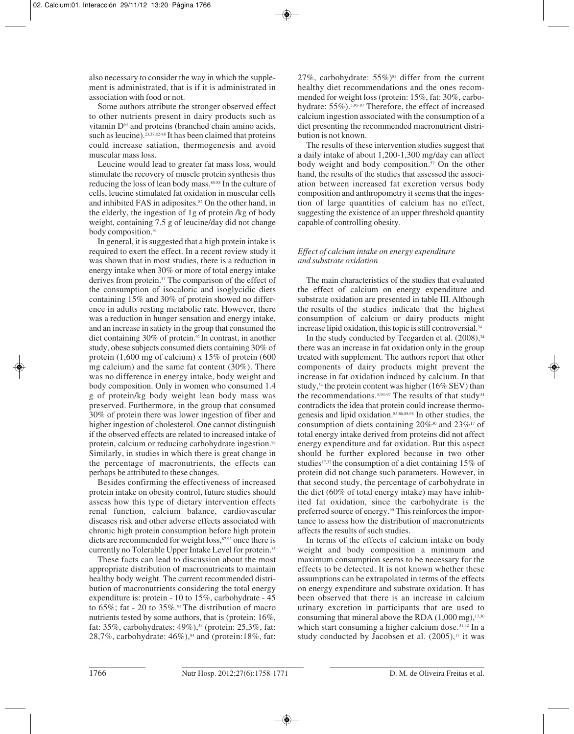also necessary to consider the way in which the supplement is administrated, that is if it is administrated in association with food or not.

Some authors attribute the stronger observed effect to other nutrients present in dairy products such as vitamin D64 and proteins (branched chain amino acids, such as leucine).<sup>23,37,82-88</sup> It has been claimed that proteins could increase satiation, thermogenesis and avoid muscular mass loss.

Leucine would lead to greater fat mass loss, would stimulate the recovery of muscle protein synthesis thus reducing the loss of lean body mass.85-88 In the culture of cells, leucine stimulated fat oxidation in muscular cells and inhibited FAS in adiposites.<sup>82</sup> On the other hand, in the elderly, the ingestion of 1g of protein /kg of body weight, containing 7.5 g of leucine/day did not change body composition.<sup>91</sup>

In general, it is suggested that a high protein intake is required to exert the effect. In a recent review study it was shown that in most studies, there is a reduction in energy intake when 30% or more of total energy intake derives from protein.<sup>87</sup> The comparison of the effect of the consumption of isocaloric and isoglycidic diets containing 15% and 30% of protein showed no difference in adults resting metabolic rate. However, there was a reduction in hunger sensation and energy intake, and an increase in satiety in the group that consumed the diet containing 30% of protein.92 In contrast, in another study, obese subjects consumed diets containing 30% of protein  $(1,600 \text{ mg of calcium}) \times 15\%$  of protein  $(600 \text{ g})$ mg calcium) and the same fat content (30%). There was no difference in energy intake, body weight and body composition. Only in women who consumed 1.4 g of protein/kg body weight lean body mass was preserved. Furthermore, in the group that consumed 30% of protein there was lower ingestion of fiber and higher ingestion of cholesterol. One cannot distinguish if the observed effects are related to increased intake of protein, calcium or reducing carbohydrate ingestion.<sup>93</sup> Similarly, in studies in which there is great change in the percentage of macronutrients, the effects can perhaps be attributed to these changes.

Besides confirming the effectiveness of increased protein intake on obesity control, future studies should assess how this type of dietary intervention effects renal function, calcium balance, cardiovascular diseases risk and other adverse effects associated with chronic high protein consumption before high protein diets are recommended for weight loss,<sup>87,92</sup> once there is currently no Tolerable Upper Intake Level for protein.<sup>85</sup>

These facts can lead to discussion about the most appropriate distribution of macronutrients to maintain healthy body weight. The current recommended distribution of macronutrients considering the total energy expenditure is: protein - 10 to 15%, carbohydrate - 45 to 65%; fat - 20 to 35%.<sup>94</sup> The distribution of macro nutrients tested by some authors, that is (protein: 16%, fat: 35%, carbohydrates: 49%),<sup>33</sup> (protein: 25,3%, fat: 28,7%, carbohydrate:  $46\%)$ ,<sup>84</sup> and (protein: 18%, fat:

27%, carbohydrate:  $55\%$ <sup>83</sup> differ from the current healthy diet recommendations and the ones recommended for weight loss (protein: 15%, fat: 30%, carbohydrate: 55%).5,95-97 Therefore, the effect of increased calcium ingestion associated with the consumption of a diet presenting the recommended macronutrient distribution is not known.

The results of these intervention studies suggest that a daily intake of about 1,200-1,300 mg/day can affect body weight and body composition.<sup>57</sup> On the other hand, the results of the studies that assessed the association between increased fat excretion versus body composition and anthropometry it seems that the ingestion of large quantities of calcium has no effect, suggesting the existence of an upper threshold quantity capable of controlling obesity.

# *Effect of calcium intake on energy expenditure and substrate oxidation*

The main characteristics of the studies that evaluated the effect of calcium on energy expenditure and substrate oxidation are presented in table III. Although the results of the studies indicate that the highest consumption of calcium or dairy products might increase lipid oxidation, this topic is still controversial.<sup>34</sup>

In the study conducted by Teegarden et al.  $(2008)$ ,  $34$ there was an increase in fat oxidation only in the group treated with supplement. The authors report that other components of dairy products might prevent the increase in fat oxidation induced by calcium. In that study,<sup>34</sup> the protein content was higher (16% SEV) than the recommendations.<sup>5,94-97</sup> The results of that study<sup>34</sup> contradicts the idea that protein could increase thermogenesis and lipid oxidation.85,86,88,98 In other studies, the consumption of diets containing  $20\%$ <sup>30</sup> and  $23\%$ <sup>17</sup> of total energy intake derived from proteins did not affect energy expenditure and fat oxidation. But this aspect should be further explored because in two other studies<sup>17,32</sup> the consumption of a diet containing 15% of protein did not change such parameters. However, in that second study, the percentage of carbohydrate in the diet (60% of total energy intake) may have inhibited fat oxidation, since the carbohydrate is the preferred source of energy.<sup>99</sup> This reinforces the importance to assess how the distribution of macronutrients affects the results of such studies.

In terms of the effects of calcium intake on body weight and body composition a minimum and maximum consumption seems to be necessary for the effects to be detected. It is not known whether these assumptions can be extrapolated in terms of the effects on energy expenditure and substrate oxidation. It has been observed that there is an increase in calcium urinary excretion in participants that are used to consuming that mineral above the RDA  $(1,000 \text{ mg})$ ,<sup>17,30</sup> which start consuming a higher calcium dose.<sup>31,32</sup> In a study conducted by Jacobsen et al.  $(2005)^{17}$  it was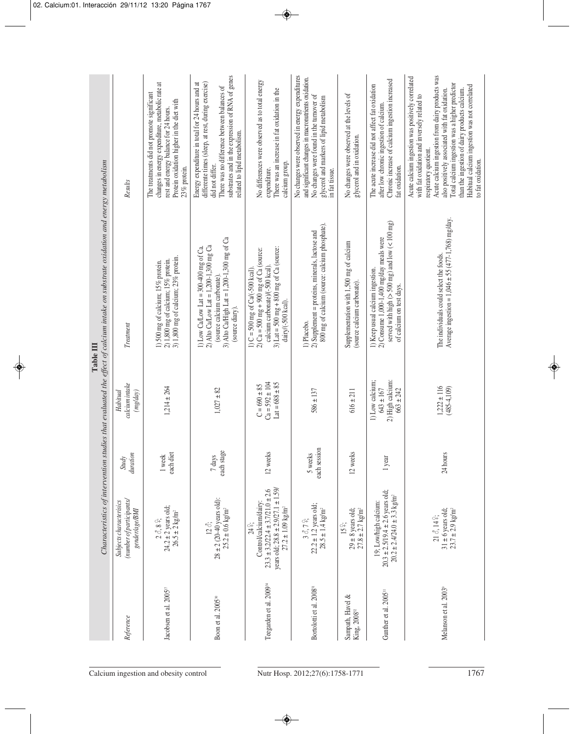|                                                                                                                                               | Results                                                               | changes in energy expenditure, metabolic rate at<br>The treatments did not promote significant<br>Protein oxidation higher in the diet with<br>rest and energy balance for 24 hours.<br>23% protein. | substrates and in the expression of RNA of genes<br>differente times (sleep, at rest, during exercise)<br>Energy expenditure in total for 24 hours and at<br>There was no difference between balances of<br>related to lipid metabolism.<br>did not differ. | No differences were observed as to total energy<br>There was an increase in fat oxidation in the<br>calcium group.<br>expenditure.                                                           | No changes were observed in energy expenditures<br>and significant changes in macronutrients oxidation.<br>No changes were found in the turnover of<br>glycerol and markers of lipid metabolism<br>in fat tissue. | No changes were observed at the levels of<br>glycerol and in oxidation.        | Chronic increase of calcium ingestion increased<br>The acute increase did not affect fat oxidation<br>after low chronic ingestion of calcium.<br>fat oxidation.  | Acute calcium ingestion from dairy products was<br>Acute calcium ingestion was positively correlated<br>Total calcium ingestion was a higher predictor<br>Habitual calcium ingestion was not correlated<br>than the ingestion of dairy products calcium.<br>also positively associated with fat oxidation.<br>with fat oxidation and inversely related to<br>respiratory quotient.<br>to fat oxidation. |
|-----------------------------------------------------------------------------------------------------------------------------------------------|-----------------------------------------------------------------------|------------------------------------------------------------------------------------------------------------------------------------------------------------------------------------------------------|-------------------------------------------------------------------------------------------------------------------------------------------------------------------------------------------------------------------------------------------------------------|----------------------------------------------------------------------------------------------------------------------------------------------------------------------------------------------|-------------------------------------------------------------------------------------------------------------------------------------------------------------------------------------------------------------------|--------------------------------------------------------------------------------|------------------------------------------------------------------------------------------------------------------------------------------------------------------|---------------------------------------------------------------------------------------------------------------------------------------------------------------------------------------------------------------------------------------------------------------------------------------------------------------------------------------------------------------------------------------------------------|
| Characteristics of intervention studies that evaluated the effect of calcium intake on substrate oxidation and energy metabolism<br>Table III | Treatment                                                             | 2) 1,800 mg of calcium; 15% protein.<br>3) 1,800 mg of calcium; 23% protein.<br>1) 500 mg of calcium; 15% protein.                                                                                   | 3) Alto Ca/High Lat = 1,200-1,300 mg of Ca<br>2) Alto Ca/Low Lat = $1,200-1,300$ mg Ca<br>1) Low Ca/Low Lat = $300-400$ mg of Ca.<br>(source calcium carbonate)<br>(source diary).                                                                          | 3) Lat = 500 mg + 800 mg of Ca (source:<br>2) Ca = 500 mg + 900 mg of Ca (source:<br>calcium carbonate) $/(-500 \text{ kcal})$<br>1) $C = 500$ mg of $Cal(-500$ kcal).<br>dairy/(-500 kcal). | 800 mg of calcium (source: calcium phosphate).<br>2) Supplement = proteins, minerals, lactose and<br>1) Placebo.                                                                                                  | Supplementation with 1,500 mg of calcium<br>(source calcium carbonate).        | served with high ( $>$ 500 mg) and low ( $<$ 100 mg)<br>2) Consume 1,000-1,400 mg/day meals were<br>1) Keep usual calcium ingestion.<br>of calcium on test days. | Average ingestion = $1,046 \pm 55 (477 - 1,768)$ mg/day.<br>The individuals could select the foods.                                                                                                                                                                                                                                                                                                     |
|                                                                                                                                               | calcium intake<br>(mg/day)<br>Habitual                                | $1,214 \pm 264$                                                                                                                                                                                      | $1,027 \pm 82$                                                                                                                                                                                                                                              | $Ca = 592 \pm 104$<br>$Lat = 688 \pm 85$<br>$C = 690 \pm 85$                                                                                                                                 | $586 \pm 137$                                                                                                                                                                                                     | $616 \pm 211$                                                                  | 2) High calcium:<br>1) Low calcium;<br>$643 \pm 167$<br>$663 \pm 242$                                                                                            | $1,222 \pm 116$<br>$(485 - 4, 109)$                                                                                                                                                                                                                                                                                                                                                                     |
|                                                                                                                                               | duration<br><b>Study</b>                                              | each diet<br>1 week                                                                                                                                                                                  | each stage<br>7 days                                                                                                                                                                                                                                        | 12 weeks                                                                                                                                                                                     | each session<br>5 weeks                                                                                                                                                                                           | 12 weeks                                                                       | 1 year                                                                                                                                                           | 24 hours                                                                                                                                                                                                                                                                                                                                                                                                |
|                                                                                                                                               | (number of participants/<br>Subjects characterisics<br>gender/age/BMI | $24.2 \pm 2$ years old;<br>$26.5 \pm 2 \text{ kg/m}^2$<br>$2$ Å, $8$ $\stackrel{\odot}{\div}$                                                                                                        | $28 \pm 2$ (20-40 years old):<br>$25.2 \pm 0.6$ kg/m <sup>2</sup><br>12 Å;                                                                                                                                                                                  | years old; $28.8 \pm 2.9/27.1 \pm 1.59$<br>$23.3 \pm 3.2/22.4 \pm 3.7/21.0 \pm 2.6$<br>Control/calcium/dairy:<br>$27.2 \pm 1.09$ kg/m <sup>2</sup><br>24 °.                                  | $22.2 \pm 1.2$ years old;<br>$28.5 \pm 1.4 \text{ kg/m}^2$<br>$30,79$ ;                                                                                                                                           | $29 \pm 8$ years old;<br>$27.8 \pm 2.7$ kg/m <sup>2</sup><br>15 <sup>°</sup> ; | $20.3 \pm 2.5/19.4 \pm 2.6$ years old;<br>$20.2 \pm 2.4/24.0 \pm 3.3$ kg/m <sup>2</sup><br>19; Low/high calcium:                                                 | $31 \pm 6$ years old;<br>$23.7 \pm 2.9$ kg/m <sup>2</sup><br>$21 \, \delta$ , $14 \, \frac{\circ}{4}$                                                                                                                                                                                                                                                                                                   |
|                                                                                                                                               | Reference                                                             | Jacobsen et al. 2005 <sup>17</sup>                                                                                                                                                                   | Boon et al. 2005 <sup>50</sup>                                                                                                                                                                                                                              | Teegarden et al. 2009 <sup>34</sup>                                                                                                                                                          | Bortolotti et al. 2008 <sup>31</sup>                                                                                                                                                                              | Sampath, Havel &<br>King, 2008 <sup>32</sup>                                   | Gunther et al. 2005 <sup>11</sup>                                                                                                                                | Melanson et al. 2003 <sup>9</sup>                                                                                                                                                                                                                                                                                                                                                                       |
|                                                                                                                                               |                                                                       | Calcium ingestion and obesity control                                                                                                                                                                |                                                                                                                                                                                                                                                             |                                                                                                                                                                                              | Nutr Hosp. 2012;27(6):1758-1771                                                                                                                                                                                   |                                                                                |                                                                                                                                                                  | 1767                                                                                                                                                                                                                                                                                                                                                                                                    |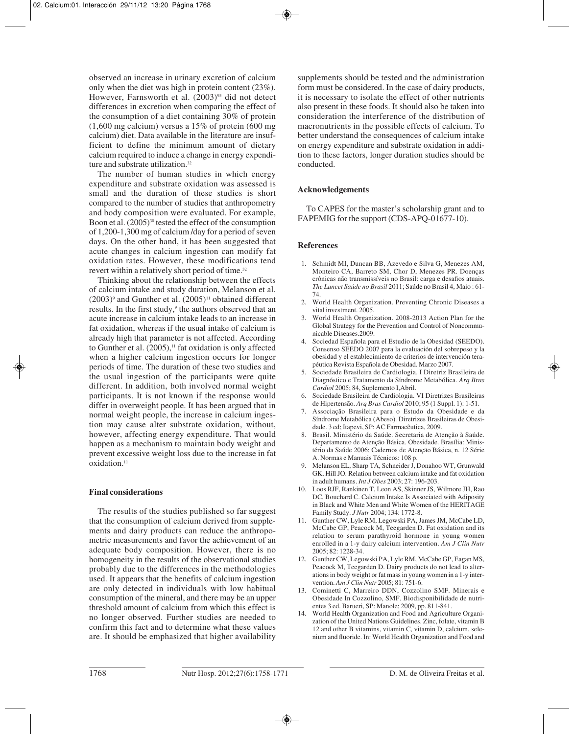observed an increase in urinary excretion of calcium only when the diet was high in protein content (23%). However, Farnsworth et al.  $(2003)^{93}$  did not detect differences in excretion when comparing the effect of the consumption of a diet containing 30% of protein  $(1,600 \text{ mg calcium})$  versus a 15% of protein  $(600 \text{ mg})$ calcium) diet. Data available in the literature are insufficient to define the minimum amount of dietary calcium required to induce a change in energy expenditure and substrate utilization.<sup>32</sup>

The number of human studies in which energy expenditure and substrate oxidation was assessed is small and the duration of these studies is short compared to the number of studies that anthropometry and body composition were evaluated. For example, Boon et al.  $(2005)^{30}$  tested the effect of the consumption of 1,200-1,300 mg of calcium /day for a period of seven days. On the other hand, it has been suggested that acute changes in calcium ingestion can modify fat oxidation rates. However, these modifications tend revert within a relatively short period of time.<sup>32</sup>

Thinking about the relationship between the effects of calcium intake and study duration, Melanson et al.  $(2003)$ <sup>9</sup> and Gunther et al.  $(2005)$ <sup>11</sup> obtained different results. In the first study,<sup>9</sup> the authors observed that an acute increase in calcium intake leads to an increase in fat oxidation, whereas if the usual intake of calcium is already high that parameter is not affected. According to Gunther et al.  $(2005)$ ,<sup>11</sup> fat oxidation is only affected when a higher calcium ingestion occurs for longer periods of time. The duration of these two studies and the usual ingestion of the participants were quite different. In addition, both involved normal weight participants. It is not known if the response would differ in overweight people. It has been argued that in normal weight people, the increase in calcium ingestion may cause alter substrate oxidation, without, however, affecting energy expenditure. That would happen as a mechanism to maintain body weight and prevent excessive weight loss due to the increase in fat oxidation.<sup>11</sup>

## **Final considerations**

The results of the studies published so far suggest that the consumption of calcium derived from supplements and dairy products can reduce the anthropometric measurements and favor the achievement of an adequate body composition. However, there is no homogeneity in the results of the observational studies probably due to the differences in the methodologies used. It appears that the benefits of calcium ingestion are only detected in individuals with low habitual consumption of the mineral, and there may be an upper threshold amount of calcium from which this effect is no longer observed. Further studies are needed to confirm this fact and to determine what these values are. It should be emphasized that higher availability

supplements should be tested and the administration form must be considered. In the case of dairy products, it is necessary to isolate the effect of other nutrients also present in these foods. It should also be taken into consideration the interference of the distribution of macronutrients in the possible effects of calcium. To better understand the consequences of calcium intake on energy expenditure and substrate oxidation in addition to these factors, longer duration studies should be conducted.

# **Acknowledgements**

To CAPES for the master's scholarship grant and to FAPEMIG for the support (CDS-APQ-01677-10).

# **References**

- 1. Schmidt MI, Duncan BB, Azevedo e Silva G, Menezes AM, Monteiro CA, Barreto SM, Chor D, Menezes PR. Doenças crônicas não transmissíveis no Brasil: carga e desafios atuais. *The Lancet Saúde no Brasil* 2011; Saúde no Brasil 4, Maio : 61- 74.
- 2. World Health Organization. Preventing Chronic Diseases a vital investment. 2005.
- 3. World Health Organization. 2008-2013 Action Plan for the Global Strategy for the Prevention and Control of Noncommunicable Diseases.2009.
- 4. Sociedad Española para el Estudio de la Obesidad (SEEDO). Consenso SEEDO 2007 para la evaluación del sobrepeso y la obesidad y el establecimiento de criterios de intervención terapéutica Revista Española de Obesidad. Marzo 2007.
- 5. Sociedade Brasileira de Cardiologia. I Diretriz Brasileira de Diagnóstico e Tratamento da Síndrome Metabólica. *Arq Bras Cardiol* 2005; 84, Suplemento I,Abril.
- 6. Sociedade Brasileira de Cardiologia. VI Diretrizes Brasileiras de Hipertensão. *Arq Bras Cardiol* 2010; 95 (1 Suppl. 1): 1-51.
- 7. Associação Brasileira para o Estudo da Obesidade e da Síndrome Metabólica (Abeso). Diretrizes Brasileiras de Obesidade. 3 ed; Itapevi, SP: AC Farmacêutica, 2009.
- 8. Brasil. Ministério da Saúde. Secretaria de Atenção à Saúde. Departamento de Atenção Básica. Obesidade. Brasília: Ministério da Saúde 2006; Cadernos de Atenção Básica, n. 12 Série A. Normas e Manuais Técnicos: 108 p.
- 9. Melanson EL, Sharp TA, Schneider J, Donahoo WT, Grunwald GK, Hill JO. Relation between calcium intake and fat oxidation in adult humans. *Int J Obes* 2003; 27: 196-203.
- 10. Loos RJF, Rankinen T, Leon AS, Skinner JS, Wilmore JH, Rao DC, Bouchard C. Calcium Intake Is Associated with Adiposity in Black and White Men and White Women of the HERITAGE Family Study. *J Nutr* 2004; 134: 1772-8.
- 11. Gunther CW, Lyle RM, Legowski PA, James JM, McCabe LD, McCabe GP, Peacock M, Teegarden D. Fat oxidation and its relation to serum parathyroid hormone in young women enrolled in a 1-y dairy calcium intervention. *Am J Clin Nutr* 2005; 82: 1228-34.
- 12. Gunther CW, Legowski PA, Lyle RM, McCabe GP, Eagan MS, Peacock M, Teegarden D. Dairy products do not lead to alterations in body weight or fat mass in young women in a 1-y intervention. *Am J Clin Nutr* 2005; 81: 751-6.
- 13. Cominetti C, Marreiro DDN, Cozzolino SMF. Minerais e Obesidade In Cozzolino, SMF. Biodisponibilidade de nutrientes 3 ed. Barueri, SP: Manole; 2009, pp. 811-841.
- 14. World Health Organization and Food and Agriculture Organization of the United Nations Guidelines. Zinc, folate, vitamin B 12 and other B vitamins, vitamin C, vitamin D, calcium, selenium and fluoride. In: World Health Organization and Food and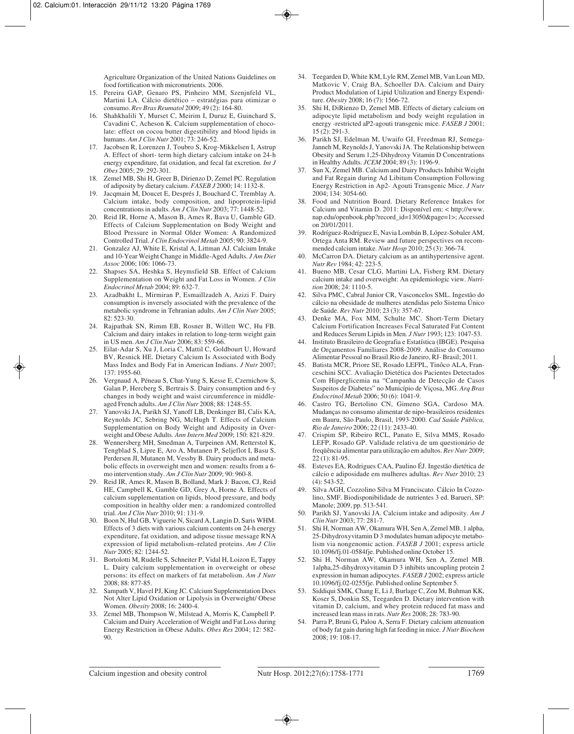Agriculture Organization of the United Nations Guidelines on food fortification with micronutrients. 2006.

- 15. Pereira GAP, Genaro PS, Pinheiro MM, Szenjnfeld VL, Martini LA. Cálcio dietético – estratégias para otimizar o consumo. *Rev Bras Reumatol* 2009; 49 (2): 164-80.
- 16. Shahkhalili Y, Murset C, Meirim I, Duruz E, Guinchard S, Cavadini C, Acheson K. Calcium supplementation of chocolate: effect on cocoa butter digestibility and blood lipids in humans. *Am J Clin Nutr* 2001; 73: 246-52.
- 17. Jacobsen R, Lorenzen J, Toubro S, Krog-Mikkelsen I, Astrup A. Effect of short- term high dietary calcium intake on 24-h energy expenditure, fat oxidation, and fecal fat excretion. *Int J Obes* 2005; 29: 292-301.
- 18. Zemel MB, Shi H, Greer B, Dirienzo D, Zemel PC. Regulation of adiposity by dietary calcium. *FASEB J* 2000; 14: 1132-8.
- 19. Jacqmain M, Doucet E, Després J, Bouchard C, Tremblay A. Calcium intake, body composition, and lipoprotein-lipid concentrations in adults. *Am J Clin Nutr* 2003; 77: 1448-52.
- 20. Reid IR, Horne A, Mason B, Ames R, Bava U, Gamble GD. Effects of Calcium Supplementation on Body Weight and Blood Pressure in Normal Older Women: A Randomized Controlled Trial. *J Clin Endocrinol Metab* 2005; 90: 3824-9.
- 21. Gonzalez AJ, White E, Kristal A, Littman AJ. Calcium Intake and 10-Year Weight Change in Middle-Aged Adults. *J Am Diet Assoc* 2006; 106: 1066-73.
- 22. Shapses SA, Heshka S, Heymsfield SB. Effect of Calcium Supplementation on Weight and Fat Loss in Women. *J Clin Endocrinol Metab* 2004; 89: 632-7.
- 23. Azadbakht L, Mirmiran P, Esmaillzadeh A, Azizi F. Dairy consumption is inversely associated with the prevalence of the metabolic syndrome in Tehranian adults. *Am J Clin Nutr* 2005; 82: 523-30.
- 24. Rajpathak SN, Rimm EB, Rosner B, Willett WC, Hu FB. Calcium and dairy intakes in relation to long-term weight gain in US men. *Am J Clin Nutr* 2006; 83: 559-66.
- 25. Eilat-Adar S, Xu J, Loria C, Mattil C, Goldbourt U, Howard BV, Resnick HE. Dietary Calcium Is Associated with Body Mass Index and Body Fat in American Indians. *J Nutr* 2007; 137: 1955-60.
- 26. Vergnaud A, Péneau S, Chat-Yung S, Kesse E, Czernichow S, Galan P, Hercberg S, Bertrais S. Dairy consumption and 6-y changes in body weight and waist circumference in middleaged French adults. *Am J Clin Nutr* 2008; 88: 1248-55.
- 27. Yanovski JA, Parikh SJ, Yanoff LB, Denkinger BI, Calis KA, Reynolds JC, Sebring NG, McHugh T. Effects of Calcium Supplementation on Body Weight and Adiposity in Overweight and Obese Adults. *Ann Intern Med* 2009; 150: 821-829.
- 28. Wennersberg MH, Smedman A, Turpeinen AM, Retterstol K, Tengblad S, Lipre E, Aro A, Mutanen P, Seljeflot I, Basu S, Perdersen JI, Mutanen M, Vessby B. Dairy products and metabolic effects in overweight men and women: results from a 6 mo intervention study. *Am J Clin Nutr* 2009; 90: 960-8.
- 29. Reid IR, Ames R, Mason B, Bolland, Mark J: Bacon, CJ, Reid HE, Campbell K, Gamble GD, Grey A, Horne A. Effects of calcium supplementation on lipids, blood pressure, and body composition in healthy older men: a randomized controlled trial. *Am J Clin Nutr* 2010; 91: 131-9.
- 30. Boon N, Hul GB, Viguerie N, Sicard A, Langin D, Saris WHM. Effects of 3 diets with various calcium contents on 24-h energy expenditure, fat oxidation, and adipose tissue message RNA expression of lipid metabolism–related proteins. *Am J Clin Nutr* 2005; 82: 1244-52.
- 31. Bortolotti M, Rudelle S, Schneiter P, Vidal H, Loizon E, Tappy L. Dairy calcium supplementation in overweight or obese persons: its effect on markers of fat metabolism. *Am J Nutr* 2008; 88: 877-85.
- 32. Sampath V, Havel PJ, King JC. Calcium Supplementation Does Not Alter Lipid Oxidation or Lipolysis in Overweight/ Obese Women. *Obesity* 2008; 16: 2400-4.
- 33. Zemel MB, Thompson W, Milstead A, Morris K, Campbell P. Calcium and Dairy Acceleration of Weight and Fat Loss during Energy Restriction in Obese Adults. *Obes Res* 2004; 12: 582- 90.
- 34. Teegarden D, White KM, Lyle RM, Zemel MB, Van Loan MD, Matkovic V, Craig BA, Schoeller DA. Calcium and Dairy Product Modulation of Lipid Utilization and Energy Expenditure. *Obesity* 2008; 16 (7): 1566-72.
- 35. Shi H, DiRienzo D, Zemel MB. Effects of dietary calcium on adipocyte lipid metabolism and body weight regulation in energy -restricted aP2-agouti transgenic mice. *FASEB J* 2001; 15 (2): 291-3.
- 36. Parikh SJ, Edelman M, Uwaifo GI, Freedman RJ, Semega-Janneh M, Reynolds J, Yanovski JA. The Relationship between Obesity and Serum 1,25-Dihydroxy Vitamin D Concentrations in Healthy Adults. *JCEM* 2004; 89 (3): 1196-9.
- 37. Sun X, Zemel MB. Calcium and Dairy Products Inhibit Weight and Fat Regain during Ad Libitum Consumption Following Energy Restriction in Ap2- Agouti Transgenic Mice. *J Nutr* 2004; 134: 3054-60.
- 38. Food and Nutrition Board. Dietary Reference Intakes for Calcium and Vitamin D. 2011: Disponível em: < http://www. nap.edu/openbook.php?record\_id=13050&page=1>; Accessed on 20/01/2011.
- 39. Rodríguez-Rodríguez E, Navia Lombán B, López-Sobaler AM, Ortega Anta RM. Review and future perspectives on recommended calcium intake. *Nutr Hosp* 2010; 25 (3): 366-74.
- 40. McCarron DA. Dietary calcium as an antihypertensive agent. *Nutr Rev* 1984; 42: 223-5.
- 41. Bueno MB, Cesar CLG, Martini LA, Fisberg RM. Dietary calcium intake and overweight: An epidemiologic view. *Nutrition* 2008; 24: 1110-5.
- 42. Silva PMC, Cabral Junior CR, Vasconcelos SML. Ingestão do cálcio na obesidade de mulheres atendidas pelo Sistema Único de Saúde. *Rev Nutr* 2010; 23 (3): 357-67.
- 43. Denke MA, Fox MM, Schulte MC. Short-Term Dietary Calcium Fortification Increases Fecal Saturated Fat Content and Reduces Serum Lipids in Men. *J Nutr* 1993; 123: 1047-53.
- 44. Instituto Brasileiro de Geografia e Estatística (IBGE). Pesquisa de Orçamentos Familiares 2008-2009. Análise do Consumo Alimentar Pessoal no Brasil.Rio de Janeiro, RJ- Brasil; 2011.
- 45. Batista MCR, Priore SE, Rosado LEFPL, Tinôco ALA, Franceschini SCC. Avaliação Dietética dos Pacientes Detectados Com Hiperglicemia na "Campanha de Detecção de Casos Suspeitos de Diabetes" no Município de Viçosa, MG. *Arq Bras Endocrinol Metab* 2006; 50 (6): 1041-9.
- 46. Castro TG, Bertolino CN, Gimeno SGA, Cardoso MA. Mudanças no consumo alimentar de nipo-brasileiros residentes em Bauru, São Paulo, Brasil, 1993-2000. *Cad Saúde Pública, Rio de Janeiro* 2006; 22 (11): 2433-40.
- 47. Crispim SP, Ribeiro RCL, Panato E, Silva MMS, Rosado LEFP, Rosado GP. Validade relativa de um questionário de freqüência alimentar para utilização em adultos. *Rev Nutr* 2009; 22 (1): 81-95.
- 48. Esteves EA, Rodrigues CAA, Paulino ÉJ. Ingestão dietética de cálcio e adiposidade em mulheres adultas. *Rev Nutr* 2010; 23 (4): 543-52.
- 49. Silva AGH, Cozzolino Silva M Franciscato. Cálcio In Cozzolino, SMF. Biodisponibilidade de nutrientes 3 ed. Barueri, SP: Manole; 2009, pp. 513-541.
- 50. Parikh SJ, Yanovski JA. Calcium intake and adiposity. *Am J Clin Nutr* 2003; 77: 281-7.
- 51. Shi H, Norman AW, Okamura WH, Sen A, Zemel MB. 1 alpha, 25-Dihydroxyvitamin D 3 modulates human adipocyte metabolism via nongenomic action. *FASEB J* 2001; express article 10.1096/fj.01-0584fje. Published online October 15.
- 52. Shi H, Norman AW, Okamura WH, Sen A, Zemel MB. 1alpha,25-dihydroxyvitamin D 3 inhibits uncoupling protein 2 expression in human adipocytes. *FASEB J* 2002; express article 10.1096/fj.02-0255fje. Published online September 5.
- 53. Siddiqui SMK, Chang E, Li J, Burlage C, Zou M, Buhman KK, Koser S, Donkin SS, Teegarden D. Dietary intervention with vitamin D, calcium, and whey protein reduced fat mass and increased lean mass in rats. *Nutr Res* 2008; 28: 783-90.
- 54. Parra P, Bruni G, Palou A, Serra F. Dietary calcium attenuation of body fat gain during high fat feeding in mice. *J Nutr Biochem* 2008; 19: 108-17.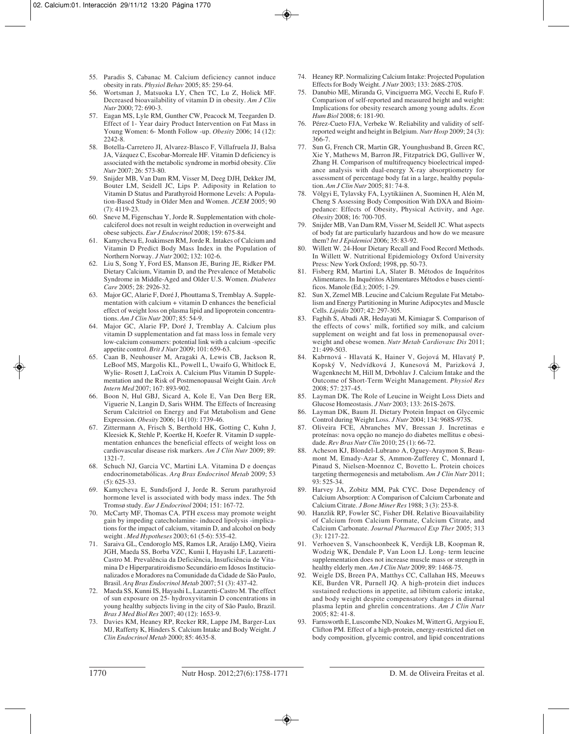- 55. Paradis S, Cabanac M. Calcium deficiency cannot induce obesity in rats. *Physiol Behav* 2005; 85: 259-64.
- 56. Wortsman J, Matsuoka LY, Chen TC, Lu Z, Holick MF. Decreased bioavailability of vitamin D in obesity. *Am J Clin Nutr* 2000; 72: 690-3.
- 57. Eagan MS, Lyle RM, Gunther CW, Peacock M, Teegarden D. Effect of 1- Year dairy Product Intervention on Fat Mass in Young Women: 6- Month Follow -up. *Obesity* 2006; 14 (12): 2242-8.
- 58. Botella-Carretero JI, Alvarez-Blasco F, Villafruela JJ, Balsa JA, Vázquez C, Escobar-Morreale HF. Vitamin D deficiency is associated with the metabolic syndrome in morbid obesity. *Clin Nutr* 2007; 26: 573-80.
- 59. Snijder MB, Van Dam RM, Visser M, Deeg DJH, Dekker JM, Bouter LM, Seidell JC, Lips P. Adiposity in Relation to Vitamin D Status and Parathyroid Hormone Levels: A Population-Based Study in Older Men and Women. *JCEM* 2005; 90 (7): 4119-23.
- 60. Sneve M, Figenschau Y, Jorde R. Supplementation with cholecalciferol does not result in weight reduction in overweight and obese subjects. *Eur J Endocrinol* 2008; 159: 675-84.
- 61. Kamycheva E, Joakimsen RM, Jorde R. Intakes of Calcium and Vitamin D Predict Body Mass Index in the Population of Northern Norway. *J Nutr* 2002; 132: 102-6.
- 62. Liu S, Song Y, Ford ES, Manson JE, Buring JE, Ridker PM. Dietary Calcium, Vitamin D, and the Prevalence of Metabolic Syndrome in Middle-Aged and Older U.S. Women. *Diabetes Care* 2005; 28: 2926-32.
- 63. Major GC, Alarie F, Doré J, Phouttama S, Tremblay A. Supplementation with calcium + vitamin D enhances the beneficial effect of weight loss on plasma lipid and lipoprotein concentrations. *Am J Clin Nutr* 2007; 85: 54-9.
- 64. Major GC, Alarie FP, Doré J, Tremblay A. Calcium plus vitamin D supplementation and fat mass loss in female very low-calcium consumers: potential link with a calcium -specific appetite control. *Brit J Nutr* 2009; 101: 659-63.
- 65. Caan B, Neuhouser M, Aragaki A, Lewis CB, Jackson R, LeBoof MS, Margolis KL, Powell L, Uwaifo G, Whitlock E, Wylie- Rosett J, LaCroix A. Calcium Plus Vitamin D Supplementation and the Risk of Postmenopausal Weight Gain. *Arch Intern Med* 2007; 167: 893-902.
- 66. Boon N, Hul GBJ, Sicard A, Kole E, Van Den Berg ER, Viguerie N, Langin D, Saris WHM. The Effects of Increasing Serum Calcitriol on Energy and Fat Metabolism and Gene Expression. *Obesity* 2006; 14 (10): 1739-46.
- 67. Zittermann A, Frisch S, Berthold HK, Gotting C, Kuhn J, Kleesiek K, Stehle P, Koertke H, Koefer R. Vitamin D supplementation enhances the beneficial effects of weight loss on cardiovascular disease risk markers. *Am J Clin Nutr* 2009; 89: 1321-7.
- 68. Schuch NJ, Garcia VC, Martini LA. Vitamina D e doenças endocrinometabólicas. *Arq Bras Endocrinol Metab* 2009; 53 (5): 625-33.
- 69. Kamycheva E, Sundsfjord J, Jorde R. Serum parathyroid hormone level is associated with body mass index. The 5th Tromsø study. *Eur J Endocrinol* 2004; 151: 167-72.
- 70. McCarty MF, Thomas CA. PTH excess may promote weight gain by impeding catecholamine- induced lipolysis -implications for the impact of calcium, vitamin D, and alcohol on body weight . *Med Hypotheses* 2003; 61 (5-6): 535-42.
- 71. Saraiva GL, Cendoroglo MS, Ramos LR, Araújo LMQ, Vieira JGH, Maeda SS, Borba VZC, Kunii I, Hayashi LF, Lazaretti-Castro M. Prevalência da Deficiência, Insuficiência de Vitamina D e Hiperparatiroidismo Secundário em Idosos Institucionalizados e Moradores na Comunidade da Cidade de São Paulo, Brasil. *Arq Bras Endocrinol Metab* 2007; 51 (3): 437-42.
- 72. Maeda SS, Kunni IS, Hayashi L, Lazaretti-Castro M. The effect of sun exposure on 25- hydroxyvitamin D concentrations in young healthy subjects living in the city of São Paulo, Brazil. *Bras J Med Biol Res* 2007; 40 (12): 1653-9.
- 73. Davies KM, Heaney RP, Recker RR, Lappe JM, Barger-Lux MJ, Rafferty K, Hinders S. Calcium Intake and Body Weight. *J Clin Endocrinol Metab* 2000; 85: 4635-8.
- 74. Heaney RP. Normalizing Calcium Intake: Projected Population Effects for Body Weight. *J Nutr* 2003; 133: 268S-270S.
- 75. Danubio ME, Miranda G, Vinciguerra MG, Vecchi E, Rufo F. Comparison of self-reported and measured height and weight: Implications for obesity research among young adults. *Econ Hum Biol* 2008; 6: 181-90.
- 76. Pérez-Cueto FJA, Verbeke W. Reliability and validity of selfreported weight and height in Belgium. *Nutr Hosp* 2009; 24 (3): 366-7.
- 77. Sun G, French CR, Martin GR, Younghusband B, Green RC, Xie Y, Mathews M, Barron JR, Fitzpatrick DG, Gulliver W, Zhang H. Comparison of multifrequency bioelectrical impedance analysis with dual-energy X-ray absorptiometry for assessment of percentage body fat in a large, healthy population. *Am J Clin Nutr* 2005; 81: 74-8.
- 78. Völgyi E, Tylavsky FA, Lyytikäinen A, Suominen H, Alén M, Cheng S Assessing Body Composition With DXA and Bioimpedance: Effects of Obesity, Physical Activity, and Age. *Obesity* 2008; 16: 700-705.
- 79. Snijder MB, Van Dam RM, Visser M, Seidell JC. What aspects of body fat are particularly hazardous and how do we measure them? *Int J Epidemiol* 2006; 35: 83-92.
- 80. Willett W. 24-Hour Dietary Recall and Food Record Methods. In Willett W. Nutritional Epidemiology Oxford University Press: New York Oxford; 1998, pp. 50-73.
- 81. Fisberg RM, Martini LA, Slater B. Métodos de Inquéritos Alimentares. In Inquéritos Alimentares Métodos e bases científicos. Manole (Ed.); 2005; 1-29.
- 82. Sun X, Zemel MB. Leucine and Calcium Regulate Fat Metabolism and Energy Partitioning in Murine Adipocytes and Muscle Cells. *Lipidis* 2007; 42: 297-305.
- 83. Faghih S, Abadi AR, Hedayati M, Kimiagar S. Comparison of the effects of cows' milk, fortified soy milk, and calcium supplement on weight and fat loss in premenopausal overweight and obese women. *Nutr Metab Cardiovasc Dis* 2011;  $21.499 - 503$
- 84. Kabrnová Hlavatá K, Hainer V, Gojová M, Hlavatý P, Kopský V, Nedvídková J, Kunesová M, Parizková J, Wagenknecht M, Hill M, Drbohlav J. Calcium Intake and the Outcome of Short-Term Weight Management. *Physiol Res* 2008; 57: 237-45.
- 85. Layman DK. The Role of Leucine in Weight Loss Diets and Glucose Homeostasis. *J Nutr* 2003; 133: 261S-267S.
- 86. Layman DK, Baum JI. Dietary Protein Impact on Glycemic Control during Weight Loss. *J Nutr* 2004; 134: 968S-973S.
- 87. Oliveira FCE, Abranches MV, Bressan J. Incretinas e proteínas: nova opção no manejo do diabetes mellitus e obesidade. *Rev Bras Nutr Clin* 2010; 25 (1): 66-72.
- 88. Acheson KJ, Blondel-Lubrano A, Oguey-Araymon S, Beaumont M, Emady-Azar S, Ammon-Zufferey C, Monnard I, Pinaud S, Nielsen-Moennoz C, Bovetto L. Protein choices targeting thermogenesis and metabolism. *Am J Clin Nutr* 2011; 93: 525-34.
- 89. Harvey JA, Zobitz MM, Pak CYC. Dose Dependency of Calcium Absorption: A Comparison of Calcium Carbonate and Calcium Citrate. *J Bone Miner Res* 1988; 3 (3): 253-8.
- 90. Hanzlik RP, Fowler SC, Fisher DH. Relative Bioavailability of Calcium from Calcium Formate, Calcium Citrate, and Calcium Carbonate. *Journal Pharmacol Exp Ther* 2005; 313 (3): 1217-22.
- 91. Verhoeven S, Vanschoonbeek K, Verdijk LB, Koopman R, Wodzig WK, Dendale P, Van Loon LJ. Long- term leucine supplementation does not increase muscle mass or strength in healthy elderly men. *Am J Clin Nutr* 2009; 89: 1468-75.
- 92. Weigle DS, Breen PA, Matthys CC, Callahan HS, Meeuws KE, Burden VR, Purnell JQ. A high-protein diet induces sustained reductions in appetite, ad libitum caloric intake, and body weight despite compensatory changes in diurnal plasma leptin and ghrelin concentrations. *Am J Clin Nutr* 2005; 82: 41-8.
- 93. Farnsworth E, Luscombe ND, Noakes M, Wittert G, Argyiou E, Clifton PM. Effect of a high-protein, energy-restricted diet on body composition, glycemic control, and lipid concentrations